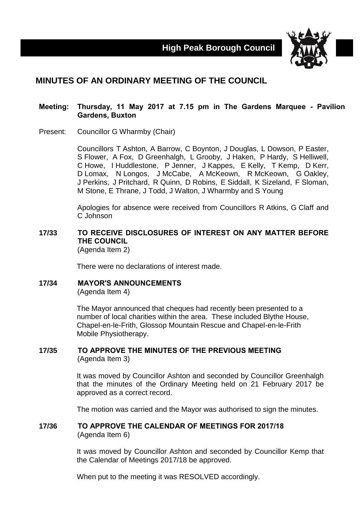**High Peak Borough Council**



# **MINUTES OF AN ORDINARY MEETING OF THE COUNCIL**

#### **Meeting: Thursday, 11 May 2017 at 7.15 pm in The Gardens Marquee - Pavilion Gardens, Buxton**

Present: Councillor G Wharmby (Chair)

Councillors T Ashton, A Barrow, C Boynton, J Douglas, L Dowson, P Easter, S Flower, A Fox, D Greenhalgh, L Grooby, J Haken, P Hardy, S Helliwell, C Howe, I Huddlestone, P Jenner, J Kappes, E Kelly, T Kemp, D Kerr, D Lomax, N Longos, J McCabe, A McKeown, R McKeown, G Oakley, J Perkins, J Pritchard, R Quinn, D Robins, E Siddall, K Sizeland, F Sloman, M Stone, E Thrane, J Todd, J Walton, J Wharmby and S Young

Apologies for absence were received from Councillors R Atkins, G Claff and C Johnson

#### **17/33 TO RECEIVE DISCLOSURES OF INTEREST ON ANY MATTER BEFORE THE COUNCIL** (Agenda Item 2)

There were no declarations of interest made.

## **17/34 MAYOR'S ANNOUNCEMENTS**

(Agenda Item 4)

The Mayor announced that cheques had recently been presented to a number of local charities within the area. These included Blythe House, Chapel-en-le-Frith, Glossop Mountain Rescue and Chapel-en-le-Frith Mobile Physiotherapy.

#### **17/35 TO APPROVE THE MINUTES OF THE PREVIOUS MEETING** (Agenda Item 3)

It was moved by Councillor Ashton and seconded by Councillor Greenhalgh that the minutes of the Ordinary Meeting held on 21 February 2017 be approved as a correct record.

The motion was carried and the Mayor was authorised to sign the minutes.

#### **17/36 TO APPROVE THE CALENDAR OF MEETINGS FOR 2017/18** (Agenda Item 6)

It was moved by Councillor Ashton and seconded by Councillor Kemp that the Calendar of Meetings 2017/18 be approved.

When put to the meeting it was RESOLVED accordingly.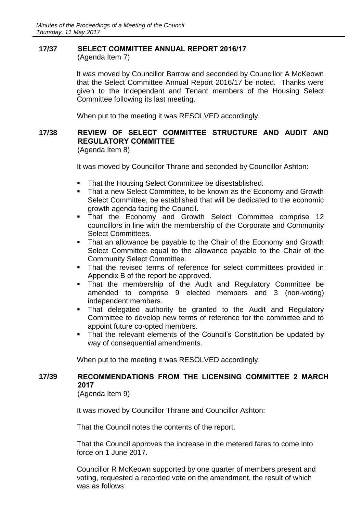# **17/37 SELECT COMMITTEE ANNUAL REPORT 2016/17**

(Agenda Item 7)

It was moved by Councillor Barrow and seconded by Councillor A McKeown that the Select Committee Annual Report 2016/17 be noted. Thanks were given to the Independent and Tenant members of the Housing Select Committee following its last meeting.

When put to the meeting it was RESOLVED accordingly.

## **17/38 REVIEW OF SELECT COMMITTEE STRUCTURE AND AUDIT AND REGULATORY COMMITTEE**

(Agenda Item 8)

It was moved by Councillor Thrane and seconded by Councillor Ashton:

- That the Housing Select Committee be disestablished.
- That a new Select Committee, to be known as the Economy and Growth Select Committee, be established that will be dedicated to the economic growth agenda facing the Council.
- **That the Economy and Growth Select Committee comprise 12** councillors in line with the membership of the Corporate and Community Select Committees.
- That an allowance be payable to the Chair of the Economy and Growth Select Committee equal to the allowance payable to the Chair of the Community Select Committee.
- **That the revised terms of reference for select committees provided in** Appendix B of the report be approved.
- That the membership of the Audit and Regulatory Committee be amended to comprise 9 elected members and 3 (non-voting) independent members.
- That delegated authority be granted to the Audit and Regulatory Committee to develop new terms of reference for the committee and to appoint future co-opted members.
- That the relevant elements of the Council's Constitution be updated by way of consequential amendments.

When put to the meeting it was RESOLVED accordingly.

## **17/39 RECOMMENDATIONS FROM THE LICENSING COMMITTEE 2 MARCH 2017**

(Agenda Item 9)

It was moved by Councillor Thrane and Councillor Ashton:

That the Council notes the contents of the report.

That the Council approves the increase in the metered fares to come into force on 1 June 2017.

Councillor R McKeown supported by one quarter of members present and voting, requested a recorded vote on the amendment, the result of which was as follows: